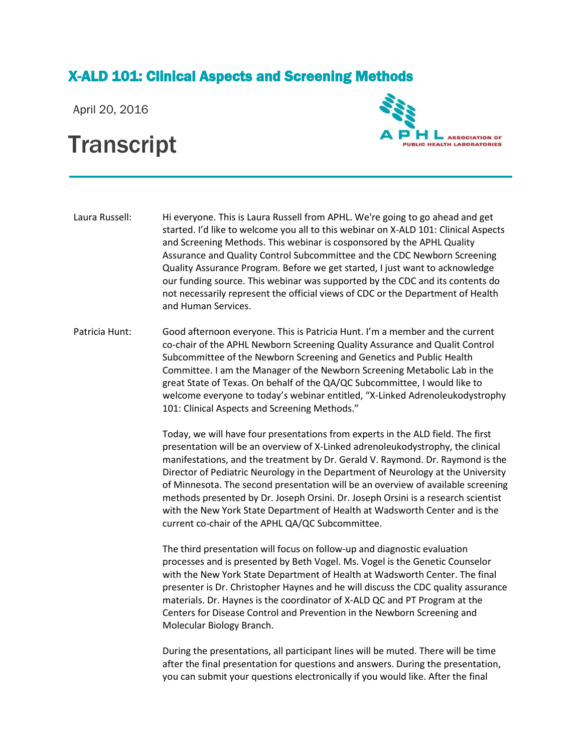## X-ALD 101: Clinical Aspects and Screening Methods

April 20, 2016

## **Transcript**



Laura Russell: Hi everyone. This is Laura Russell from APHL. We're going to go ahead and get started. I'd like to welcome you all to this webinar on X-ALD 101: Clinical Aspects and Screening Methods. This webinar is cosponsored by the APHL Quality Assurance and Quality Control Subcommittee and the CDC Newborn Screening Quality Assurance Program. Before we get started, I just want to acknowledge our funding source. This webinar was supported by the CDC and its contents do not necessarily represent the official views of CDC or the Department of Health and Human Services.

Patricia Hunt: Good afternoon everyone. This is Patricia Hunt. I'm a member and the current co-chair of the APHL Newborn Screening Quality Assurance and Qualit Control Subcommittee of the Newborn Screening and Genetics and Public Health Committee. I am the Manager of the Newborn Screening Metabolic Lab in the great State of Texas. On behalf of the QA/QC Subcommittee, I would like to welcome everyone to today's webinar entitled, "X-Linked Adrenoleukodystrophy 101: Clinical Aspects and Screening Methods."

> Today, we will have four presentations from experts in the ALD field. The first presentation will be an overview of X-Linked adrenoleukodystrophy, the clinical manifestations, and the treatment by Dr. Gerald V. Raymond. Dr. Raymond is the Director of Pediatric Neurology in the Department of Neurology at the University of Minnesota. The second presentation will be an overview of available screening methods presented by Dr. Joseph Orsini. Dr. Joseph Orsini is a research scientist with the New York State Department of Health at Wadsworth Center and is the current co-chair of the APHL QA/QC Subcommittee.

> The third presentation will focus on follow-up and diagnostic evaluation processes and is presented by Beth Vogel. Ms. Vogel is the Genetic Counselor with the New York State Department of Health at Wadsworth Center. The final presenter is Dr. Christopher Haynes and he will discuss the CDC quality assurance materials. Dr. Haynes is the coordinator of X-ALD QC and PT Program at the Centers for Disease Control and Prevention in the Newborn Screening and Molecular Biology Branch.

During the presentations, all participant lines will be muted. There will be time after the final presentation for questions and answers. During the presentation, you can submit your questions electronically if you would like. After the final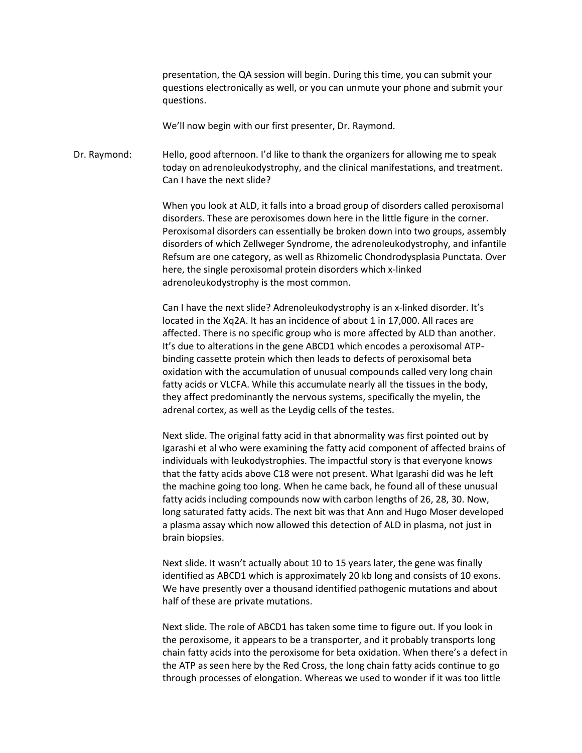presentation, the QA session will begin. During this time, you can submit your questions electronically as well, or you can unmute your phone and submit your questions.

We'll now begin with our first presenter, Dr. Raymond.

Dr. Raymond: Hello, good afternoon. I'd like to thank the organizers for allowing me to speak today on adrenoleukodystrophy, and the clinical manifestations, and treatment. Can I have the next slide?

> When you look at ALD, it falls into a broad group of disorders called peroxisomal disorders. These are peroxisomes down here in the little figure in the corner. Peroxisomal disorders can essentially be broken down into two groups, assembly disorders of which Zellweger Syndrome, the adrenoleukodystrophy, and infantile Refsum are one category, as well as Rhizomelic Chondrodysplasia Punctata. Over here, the single peroxisomal protein disorders which x-linked adrenoleukodystrophy is the most common.

Can I have the next slide? Adrenoleukodystrophy is an x-linked disorder. It's located in the Xq2A. It has an incidence of about 1 in 17,000. All races are affected. There is no specific group who is more affected by ALD than another. It's due to alterations in the gene ABCD1 which encodes a peroxisomal ATPbinding cassette protein which then leads to defects of peroxisomal beta oxidation with the accumulation of unusual compounds called very long chain fatty acids or VLCFA. While this accumulate nearly all the tissues in the body, they affect predominantly the nervous systems, specifically the myelin, the adrenal cortex, as well as the Leydig cells of the testes.

Next slide. The original fatty acid in that abnormality was first pointed out by Igarashi et al who were examining the fatty acid component of affected brains of individuals with leukodystrophies. The impactful story is that everyone knows that the fatty acids above C18 were not present. What Igarashi did was he left the machine going too long. When he came back, he found all of these unusual fatty acids including compounds now with carbon lengths of 26, 28, 30. Now, long saturated fatty acids. The next bit was that Ann and Hugo Moser developed a plasma assay which now allowed this detection of ALD in plasma, not just in brain biopsies.

Next slide. It wasn't actually about 10 to 15 years later, the gene was finally identified as ABCD1 which is approximately 20 kb long and consists of 10 exons. We have presently over a thousand identified pathogenic mutations and about half of these are private mutations.

Next slide. The role of ABCD1 has taken some time to figure out. If you look in the peroxisome, it appears to be a transporter, and it probably transports long chain fatty acids into the peroxisome for beta oxidation. When there's a defect in the ATP as seen here by the Red Cross, the long chain fatty acids continue to go through processes of elongation. Whereas we used to wonder if it was too little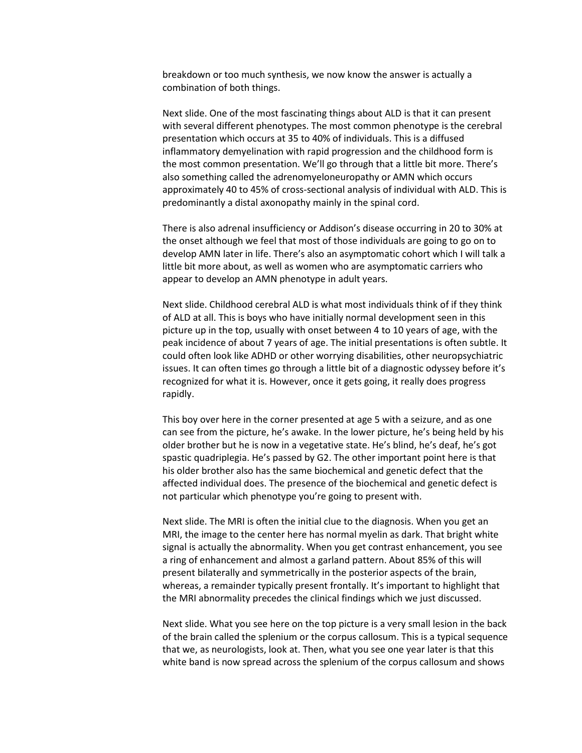breakdown or too much synthesis, we now know the answer is actually a combination of both things.

Next slide. One of the most fascinating things about ALD is that it can present with several different phenotypes. The most common phenotype is the cerebral presentation which occurs at 35 to 40% of individuals. This is a diffused inflammatory demyelination with rapid progression and the childhood form is the most common presentation. We'll go through that a little bit more. There's also something called the adrenomyeloneuropathy or AMN which occurs approximately 40 to 45% of cross-sectional analysis of individual with ALD. This is predominantly a distal axonopathy mainly in the spinal cord.

There is also adrenal insufficiency or Addison's disease occurring in 20 to 30% at the onset although we feel that most of those individuals are going to go on to develop AMN later in life. There's also an asymptomatic cohort which I will talk a little bit more about, as well as women who are asymptomatic carriers who appear to develop an AMN phenotype in adult years.

Next slide. Childhood cerebral ALD is what most individuals think of if they think of ALD at all. This is boys who have initially normal development seen in this picture up in the top, usually with onset between 4 to 10 years of age, with the peak incidence of about 7 years of age. The initial presentations is often subtle. It could often look like ADHD or other worrying disabilities, other neuropsychiatric issues. It can often times go through a little bit of a diagnostic odyssey before it's recognized for what it is. However, once it gets going, it really does progress rapidly.

This boy over here in the corner presented at age 5 with a seizure, and as one can see from the picture, he's awake. In the lower picture, he's being held by his older brother but he is now in a vegetative state. He's blind, he's deaf, he's got spastic quadriplegia. He's passed by G2. The other important point here is that his older brother also has the same biochemical and genetic defect that the affected individual does. The presence of the biochemical and genetic defect is not particular which phenotype you're going to present with.

Next slide. The MRI is often the initial clue to the diagnosis. When you get an MRI, the image to the center here has normal myelin as dark. That bright white signal is actually the abnormality. When you get contrast enhancement, you see a ring of enhancement and almost a garland pattern. About 85% of this will present bilaterally and symmetrically in the posterior aspects of the brain, whereas, a remainder typically present frontally. It's important to highlight that the MRI abnormality precedes the clinical findings which we just discussed.

Next slide. What you see here on the top picture is a very small lesion in the back of the brain called the splenium or the corpus callosum. This is a typical sequence that we, as neurologists, look at. Then, what you see one year later is that this white band is now spread across the splenium of the corpus callosum and shows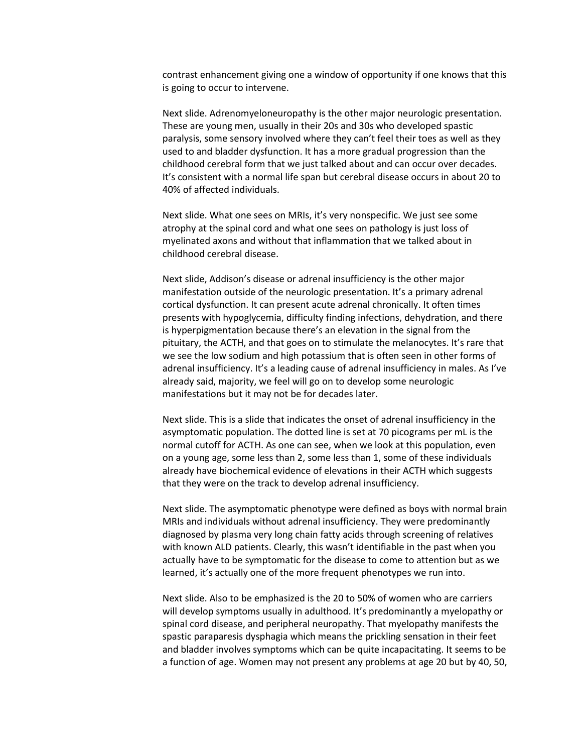contrast enhancement giving one a window of opportunity if one knows that this is going to occur to intervene.

Next slide. Adrenomyeloneuropathy is the other major neurologic presentation. These are young men, usually in their 20s and 30s who developed spastic paralysis, some sensory involved where they can't feel their toes as well as they used to and bladder dysfunction. It has a more gradual progression than the childhood cerebral form that we just talked about and can occur over decades. It's consistent with a normal life span but cerebral disease occurs in about 20 to 40% of affected individuals.

Next slide. What one sees on MRIs, it's very nonspecific. We just see some atrophy at the spinal cord and what one sees on pathology is just loss of myelinated axons and without that inflammation that we talked about in childhood cerebral disease.

Next slide, Addison's disease or adrenal insufficiency is the other major manifestation outside of the neurologic presentation. It's a primary adrenal cortical dysfunction. It can present acute adrenal chronically. It often times presents with hypoglycemia, difficulty finding infections, dehydration, and there is hyperpigmentation because there's an elevation in the signal from the pituitary, the ACTH, and that goes on to stimulate the melanocytes. It's rare that we see the low sodium and high potassium that is often seen in other forms of adrenal insufficiency. It's a leading cause of adrenal insufficiency in males. As I've already said, majority, we feel will go on to develop some neurologic manifestations but it may not be for decades later.

Next slide. This is a slide that indicates the onset of adrenal insufficiency in the asymptomatic population. The dotted line is set at 70 picograms per mL is the normal cutoff for ACTH. As one can see, when we look at this population, even on a young age, some less than 2, some less than 1, some of these individuals already have biochemical evidence of elevations in their ACTH which suggests that they were on the track to develop adrenal insufficiency.

Next slide. The asymptomatic phenotype were defined as boys with normal brain MRIs and individuals without adrenal insufficiency. They were predominantly diagnosed by plasma very long chain fatty acids through screening of relatives with known ALD patients. Clearly, this wasn't identifiable in the past when you actually have to be symptomatic for the disease to come to attention but as we learned, it's actually one of the more frequent phenotypes we run into.

Next slide. Also to be emphasized is the 20 to 50% of women who are carriers will develop symptoms usually in adulthood. It's predominantly a myelopathy or spinal cord disease, and peripheral neuropathy. That myelopathy manifests the spastic paraparesis dysphagia which means the prickling sensation in their feet and bladder involves symptoms which can be quite incapacitating. It seems to be a function of age. Women may not present any problems at age 20 but by 40, 50,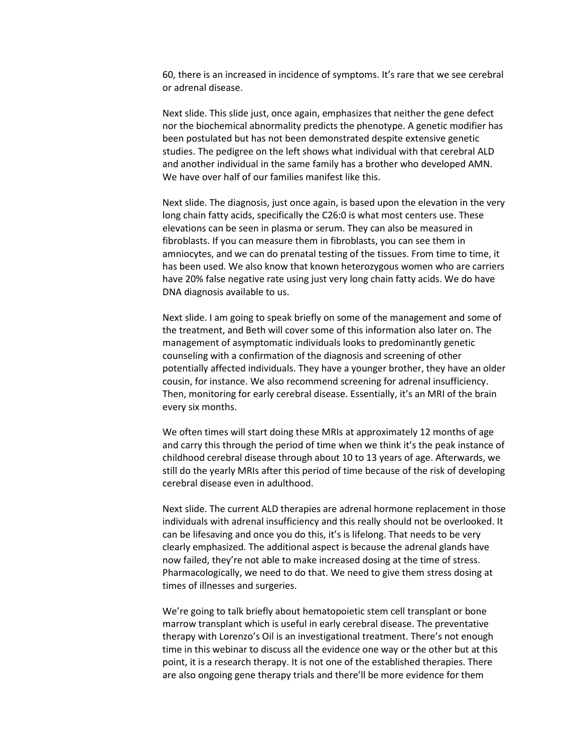60, there is an increased in incidence of symptoms. It's rare that we see cerebral or adrenal disease.

Next slide. This slide just, once again, emphasizes that neither the gene defect nor the biochemical abnormality predicts the phenotype. A genetic modifier has been postulated but has not been demonstrated despite extensive genetic studies. The pedigree on the left shows what individual with that cerebral ALD and another individual in the same family has a brother who developed AMN. We have over half of our families manifest like this.

Next slide. The diagnosis, just once again, is based upon the elevation in the very long chain fatty acids, specifically the C26:0 is what most centers use. These elevations can be seen in plasma or serum. They can also be measured in fibroblasts. If you can measure them in fibroblasts, you can see them in amniocytes, and we can do prenatal testing of the tissues. From time to time, it has been used. We also know that known heterozygous women who are carriers have 20% false negative rate using just very long chain fatty acids. We do have DNA diagnosis available to us.

Next slide. I am going to speak briefly on some of the management and some of the treatment, and Beth will cover some of this information also later on. The management of asymptomatic individuals looks to predominantly genetic counseling with a confirmation of the diagnosis and screening of other potentially affected individuals. They have a younger brother, they have an older cousin, for instance. We also recommend screening for adrenal insufficiency. Then, monitoring for early cerebral disease. Essentially, it's an MRI of the brain every six months.

We often times will start doing these MRIs at approximately 12 months of age and carry this through the period of time when we think it's the peak instance of childhood cerebral disease through about 10 to 13 years of age. Afterwards, we still do the yearly MRIs after this period of time because of the risk of developing cerebral disease even in adulthood.

Next slide. The current ALD therapies are adrenal hormone replacement in those individuals with adrenal insufficiency and this really should not be overlooked. It can be lifesaving and once you do this, it's is lifelong. That needs to be very clearly emphasized. The additional aspect is because the adrenal glands have now failed, they're not able to make increased dosing at the time of stress. Pharmacologically, we need to do that. We need to give them stress dosing at times of illnesses and surgeries.

We're going to talk briefly about hematopoietic stem cell transplant or bone marrow transplant which is useful in early cerebral disease. The preventative therapy with Lorenzo's Oil is an investigational treatment. There's not enough time in this webinar to discuss all the evidence one way or the other but at this point, it is a research therapy. It is not one of the established therapies. There are also ongoing gene therapy trials and there'll be more evidence for them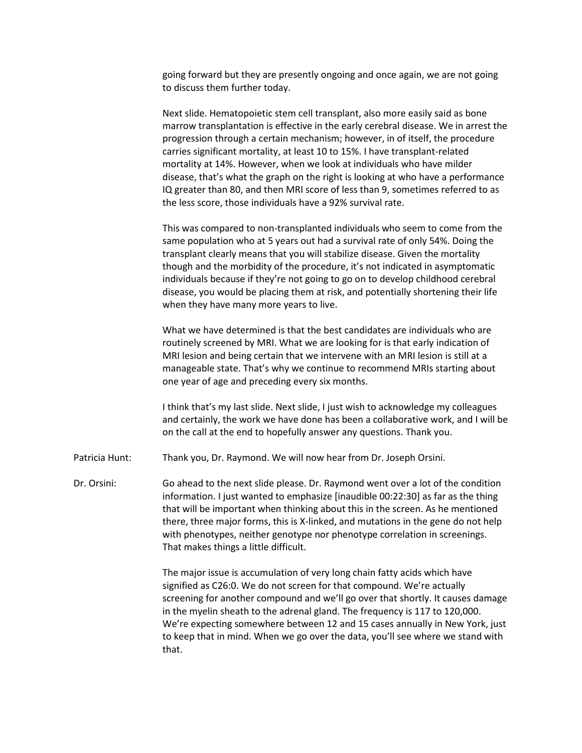going forward but they are presently ongoing and once again, we are not going to discuss them further today.

Next slide. Hematopoietic stem cell transplant, also more easily said as bone marrow transplantation is effective in the early cerebral disease. We in arrest the progression through a certain mechanism; however, in of itself, the procedure carries significant mortality, at least 10 to 15%. I have transplant-related mortality at 14%. However, when we look at individuals who have milder disease, that's what the graph on the right is looking at who have a performance IQ greater than 80, and then MRI score of less than 9, sometimes referred to as the less score, those individuals have a 92% survival rate.

This was compared to non-transplanted individuals who seem to come from the same population who at 5 years out had a survival rate of only 54%. Doing the transplant clearly means that you will stabilize disease. Given the mortality though and the morbidity of the procedure, it's not indicated in asymptomatic individuals because if they're not going to go on to develop childhood cerebral disease, you would be placing them at risk, and potentially shortening their life when they have many more years to live.

What we have determined is that the best candidates are individuals who are routinely screened by MRI. What we are looking for is that early indication of MRI lesion and being certain that we intervene with an MRI lesion is still at a manageable state. That's why we continue to recommend MRIs starting about one year of age and preceding every six months.

I think that's my last slide. Next slide, I just wish to acknowledge my colleagues and certainly, the work we have done has been a collaborative work, and I will be on the call at the end to hopefully answer any questions. Thank you.

- Patricia Hunt: Thank you, Dr. Raymond. We will now hear from Dr. Joseph Orsini.
- Dr. Orsini: Go ahead to the next slide please. Dr. Raymond went over a lot of the condition information. I just wanted to emphasize [inaudible 00:22:30] as far as the thing that will be important when thinking about this in the screen. As he mentioned there, three major forms, this is X-linked, and mutations in the gene do not help with phenotypes, neither genotype nor phenotype correlation in screenings. That makes things a little difficult.

The major issue is accumulation of very long chain fatty acids which have signified as C26:0. We do not screen for that compound. We're actually screening for another compound and we'll go over that shortly. It causes damage in the myelin sheath to the adrenal gland. The frequency is 117 to 120,000. We're expecting somewhere between 12 and 15 cases annually in New York, just to keep that in mind. When we go over the data, you'll see where we stand with that.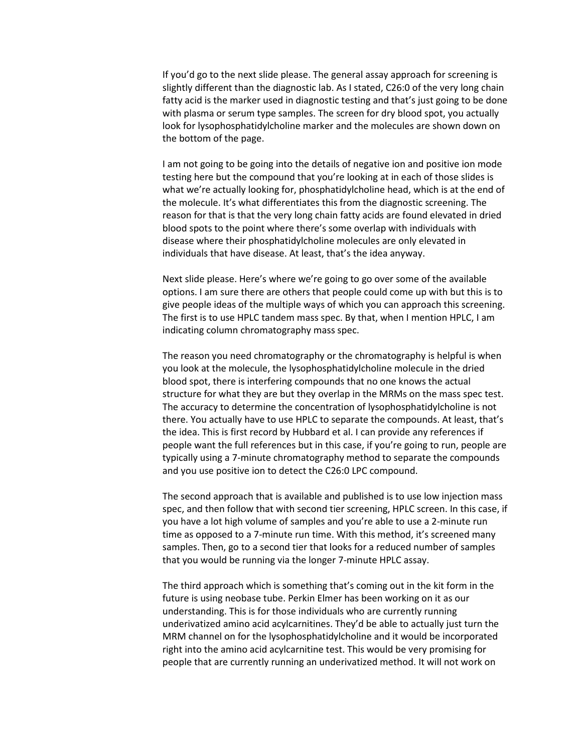If you'd go to the next slide please. The general assay approach for screening is slightly different than the diagnostic lab. As I stated, C26:0 of the very long chain fatty acid is the marker used in diagnostic testing and that's just going to be done with plasma or serum type samples. The screen for dry blood spot, you actually look for lysophosphatidylcholine marker and the molecules are shown down on the bottom of the page.

I am not going to be going into the details of negative ion and positive ion mode testing here but the compound that you're looking at in each of those slides is what we're actually looking for, phosphatidylcholine head, which is at the end of the molecule. It's what differentiates this from the diagnostic screening. The reason for that is that the very long chain fatty acids are found elevated in dried blood spots to the point where there's some overlap with individuals with disease where their phosphatidylcholine molecules are only elevated in individuals that have disease. At least, that's the idea anyway.

Next slide please. Here's where we're going to go over some of the available options. I am sure there are others that people could come up with but this is to give people ideas of the multiple ways of which you can approach this screening. The first is to use HPLC tandem mass spec. By that, when I mention HPLC, I am indicating column chromatography mass spec.

The reason you need chromatography or the chromatography is helpful is when you look at the molecule, the lysophosphatidylcholine molecule in the dried blood spot, there is interfering compounds that no one knows the actual structure for what they are but they overlap in the MRMs on the mass spec test. The accuracy to determine the concentration of lysophosphatidylcholine is not there. You actually have to use HPLC to separate the compounds. At least, that's the idea. This is first record by Hubbard et al. I can provide any references if people want the full references but in this case, if you're going to run, people are typically using a 7-minute chromatography method to separate the compounds and you use positive ion to detect the C26:0 LPC compound.

The second approach that is available and published is to use low injection mass spec, and then follow that with second tier screening, HPLC screen. In this case, if you have a lot high volume of samples and you're able to use a 2-minute run time as opposed to a 7-minute run time. With this method, it's screened many samples. Then, go to a second tier that looks for a reduced number of samples that you would be running via the longer 7-minute HPLC assay.

The third approach which is something that's coming out in the kit form in the future is using neobase tube. Perkin Elmer has been working on it as our understanding. This is for those individuals who are currently running underivatized amino acid acylcarnitines. They'd be able to actually just turn the MRM channel on for the lysophosphatidylcholine and it would be incorporated right into the amino acid acylcarnitine test. This would be very promising for people that are currently running an underivatized method. It will not work on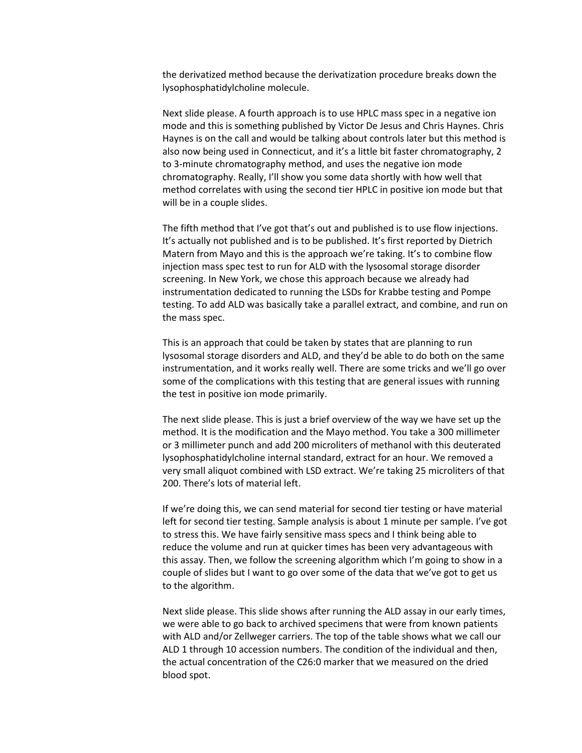the derivatized method because the derivatization procedure breaks down the lysophosphatidylcholine molecule.

Next slide please. A fourth approach is to use HPLC mass spec in a negative ion mode and this is something published by Victor De Jesus and Chris Haynes. Chris Haynes is on the call and would be talking about controls later but this method is also now being used in Connecticut, and it's a little bit faster chromatography, 2 to 3-minute chromatography method, and uses the negative ion mode chromatography. Really, I'll show you some data shortly with how well that method correlates with using the second tier HPLC in positive ion mode but that will be in a couple slides.

The fifth method that I've got that's out and published is to use flow injections. It's actually not published and is to be published. It's first reported by Dietrich Matern from Mayo and this is the approach we're taking. It's to combine flow injection mass spec test to run for ALD with the lysosomal storage disorder screening. In New York, we chose this approach because we already had instrumentation dedicated to running the LSDs for Krabbe testing and Pompe testing. To add ALD was basically take a parallel extract, and combine, and run on the mass spec.

This is an approach that could be taken by states that are planning to run lysosomal storage disorders and ALD, and they'd be able to do both on the same instrumentation, and it works really well. There are some tricks and we'll go over some of the complications with this testing that are general issues with running the test in positive ion mode primarily.

The next slide please. This is just a brief overview of the way we have set up the method. It is the modification and the Mayo method. You take a 300 millimeter or 3 millimeter punch and add 200 microliters of methanol with this deuterated lysophosphatidylcholine internal standard, extract for an hour. We removed a very small aliquot combined with LSD extract. We're taking 25 microliters of that 200. There's lots of material left.

If we're doing this, we can send material for second tier testing or have material left for second tier testing. Sample analysis is about 1 minute per sample. I've got to stress this. We have fairly sensitive mass specs and I think being able to reduce the volume and run at quicker times has been very advantageous with this assay. Then, we follow the screening algorithm which I'm going to show in a couple of slides but I want to go over some of the data that we've got to get us to the algorithm.

Next slide please. This slide shows after running the ALD assay in our early times, we were able to go back to archived specimens that were from known patients with ALD and/or Zellweger carriers. The top of the table shows what we call our ALD 1 through 10 accession numbers. The condition of the individual and then, the actual concentration of the C26:0 marker that we measured on the dried blood spot.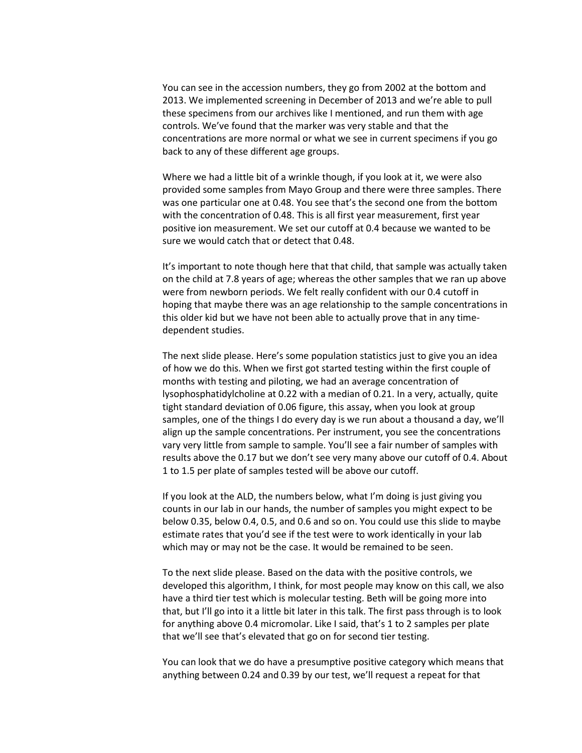You can see in the accession numbers, they go from 2002 at the bottom and 2013. We implemented screening in December of 2013 and we're able to pull these specimens from our archives like I mentioned, and run them with age controls. We've found that the marker was very stable and that the concentrations are more normal or what we see in current specimens if you go back to any of these different age groups.

Where we had a little bit of a wrinkle though, if you look at it, we were also provided some samples from Mayo Group and there were three samples. There was one particular one at 0.48. You see that's the second one from the bottom with the concentration of 0.48. This is all first year measurement, first year positive ion measurement. We set our cutoff at 0.4 because we wanted to be sure we would catch that or detect that 0.48.

It's important to note though here that that child, that sample was actually taken on the child at 7.8 years of age; whereas the other samples that we ran up above were from newborn periods. We felt really confident with our 0.4 cutoff in hoping that maybe there was an age relationship to the sample concentrations in this older kid but we have not been able to actually prove that in any timedependent studies.

The next slide please. Here's some population statistics just to give you an idea of how we do this. When we first got started testing within the first couple of months with testing and piloting, we had an average concentration of lysophosphatidylcholine at 0.22 with a median of 0.21. In a very, actually, quite tight standard deviation of 0.06 figure, this assay, when you look at group samples, one of the things I do every day is we run about a thousand a day, we'll align up the sample concentrations. Per instrument, you see the concentrations vary very little from sample to sample. You'll see a fair number of samples with results above the 0.17 but we don't see very many above our cutoff of 0.4. About 1 to 1.5 per plate of samples tested will be above our cutoff.

If you look at the ALD, the numbers below, what I'm doing is just giving you counts in our lab in our hands, the number of samples you might expect to be below 0.35, below 0.4, 0.5, and 0.6 and so on. You could use this slide to maybe estimate rates that you'd see if the test were to work identically in your lab which may or may not be the case. It would be remained to be seen.

To the next slide please. Based on the data with the positive controls, we developed this algorithm, I think, for most people may know on this call, we also have a third tier test which is molecular testing. Beth will be going more into that, but I'll go into it a little bit later in this talk. The first pass through is to look for anything above 0.4 micromolar. Like I said, that's 1 to 2 samples per plate that we'll see that's elevated that go on for second tier testing.

You can look that we do have a presumptive positive category which means that anything between 0.24 and 0.39 by our test, we'll request a repeat for that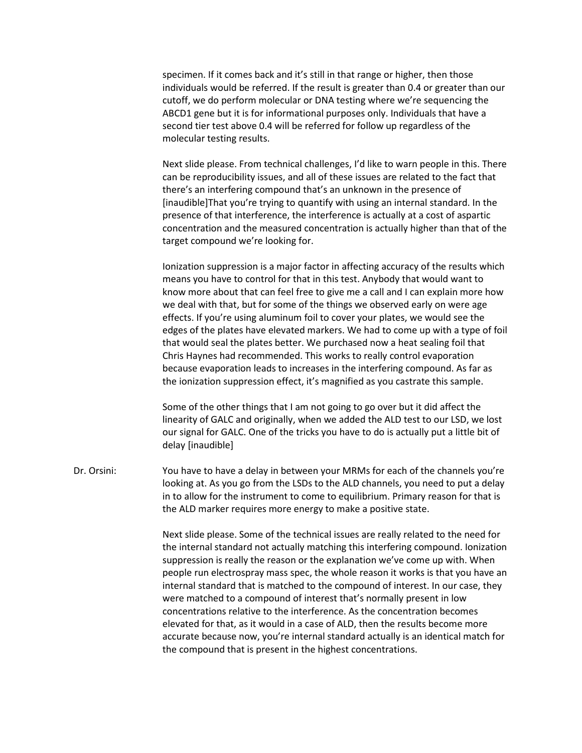specimen. If it comes back and it's still in that range or higher, then those individuals would be referred. If the result is greater than 0.4 or greater than our cutoff, we do perform molecular or DNA testing where we're sequencing the ABCD1 gene but it is for informational purposes only. Individuals that have a second tier test above 0.4 will be referred for follow up regardless of the molecular testing results.

Next slide please. From technical challenges, I'd like to warn people in this. There can be reproducibility issues, and all of these issues are related to the fact that there's an interfering compound that's an unknown in the presence of [inaudible]That you're trying to quantify with using an internal standard. In the presence of that interference, the interference is actually at a cost of aspartic concentration and the measured concentration is actually higher than that of the target compound we're looking for.

Ionization suppression is a major factor in affecting accuracy of the results which means you have to control for that in this test. Anybody that would want to know more about that can feel free to give me a call and I can explain more how we deal with that, but for some of the things we observed early on were age effects. If you're using aluminum foil to cover your plates, we would see the edges of the plates have elevated markers. We had to come up with a type of foil that would seal the plates better. We purchased now a heat sealing foil that Chris Haynes had recommended. This works to really control evaporation because evaporation leads to increases in the interfering compound. As far as the ionization suppression effect, it's magnified as you castrate this sample.

Some of the other things that I am not going to go over but it did affect the linearity of GALC and originally, when we added the ALD test to our LSD, we lost our signal for GALC. One of the tricks you have to do is actually put a little bit of delay [inaudible]

Dr. Orsini: You have to have a delay in between your MRMs for each of the channels you're looking at. As you go from the LSDs to the ALD channels, you need to put a delay in to allow for the instrument to come to equilibrium. Primary reason for that is the ALD marker requires more energy to make a positive state.

> Next slide please. Some of the technical issues are really related to the need for the internal standard not actually matching this interfering compound. Ionization suppression is really the reason or the explanation we've come up with. When people run electrospray mass spec, the whole reason it works is that you have an internal standard that is matched to the compound of interest. In our case, they were matched to a compound of interest that's normally present in low concentrations relative to the interference. As the concentration becomes elevated for that, as it would in a case of ALD, then the results become more accurate because now, you're internal standard actually is an identical match for the compound that is present in the highest concentrations.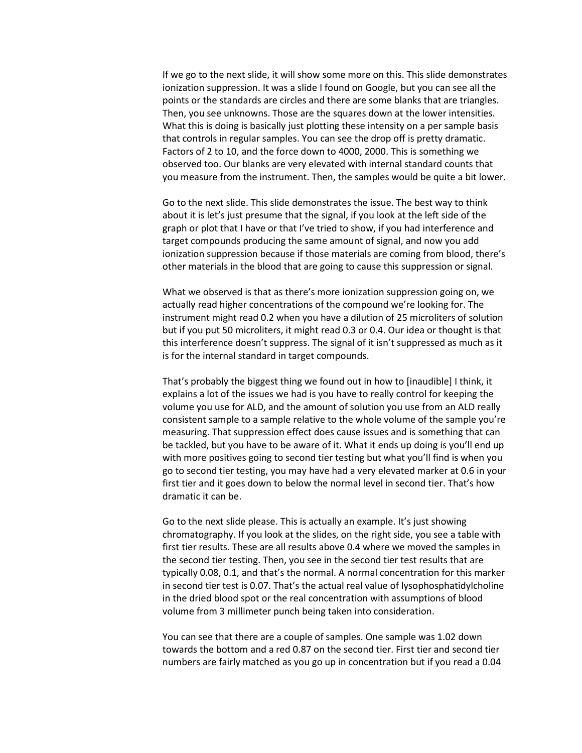If we go to the next slide, it will show some more on this. This slide demonstrates ionization suppression. It was a slide I found on Google, but you can see all the points or the standards are circles and there are some blanks that are triangles. Then, you see unknowns. Those are the squares down at the lower intensities. What this is doing is basically just plotting these intensity on a per sample basis that controls in regular samples. You can see the drop off is pretty dramatic. Factors of 2 to 10, and the force down to 4000, 2000. This is something we observed too. Our blanks are very elevated with internal standard counts that you measure from the instrument. Then, the samples would be quite a bit lower.

Go to the next slide. This slide demonstrates the issue. The best way to think about it is let's just presume that the signal, if you look at the left side of the graph or plot that I have or that I've tried to show, if you had interference and target compounds producing the same amount of signal, and now you add ionization suppression because if those materials are coming from blood, there's other materials in the blood that are going to cause this suppression or signal.

What we observed is that as there's more ionization suppression going on, we actually read higher concentrations of the compound we're looking for. The instrument might read 0.2 when you have a dilution of 25 microliters of solution but if you put 50 microliters, it might read 0.3 or 0.4. Our idea or thought is that this interference doesn't suppress. The signal of it isn't suppressed as much as it is for the internal standard in target compounds.

That's probably the biggest thing we found out in how to [inaudible] I think, it explains a lot of the issues we had is you have to really control for keeping the volume you use for ALD, and the amount of solution you use from an ALD really consistent sample to a sample relative to the whole volume of the sample you're measuring. That suppression effect does cause issues and is something that can be tackled, but you have to be aware of it. What it ends up doing is you'll end up with more positives going to second tier testing but what you'll find is when you go to second tier testing, you may have had a very elevated marker at 0.6 in your first tier and it goes down to below the normal level in second tier. That's how dramatic it can be.

Go to the next slide please. This is actually an example. It's just showing chromatography. If you look at the slides, on the right side, you see a table with first tier results. These are all results above 0.4 where we moved the samples in the second tier testing. Then, you see in the second tier test results that are typically 0.08, 0.1, and that's the normal. A normal concentration for this marker in second tier test is 0.07. That's the actual real value of lysophosphatidylcholine in the dried blood spot or the real concentration with assumptions of blood volume from 3 millimeter punch being taken into consideration.

You can see that there are a couple of samples. One sample was 1.02 down towards the bottom and a red 0.87 on the second tier. First tier and second tier numbers are fairly matched as you go up in concentration but if you read a 0.04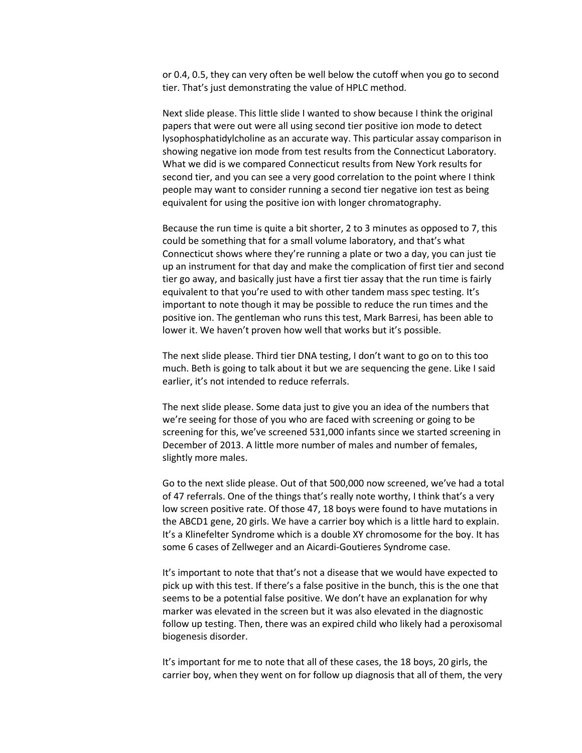or 0.4, 0.5, they can very often be well below the cutoff when you go to second tier. That's just demonstrating the value of HPLC method.

Next slide please. This little slide I wanted to show because I think the original papers that were out were all using second tier positive ion mode to detect lysophosphatidylcholine as an accurate way. This particular assay comparison in showing negative ion mode from test results from the Connecticut Laboratory. What we did is we compared Connecticut results from New York results for second tier, and you can see a very good correlation to the point where I think people may want to consider running a second tier negative ion test as being equivalent for using the positive ion with longer chromatography.

Because the run time is quite a bit shorter, 2 to 3 minutes as opposed to 7, this could be something that for a small volume laboratory, and that's what Connecticut shows where they're running a plate or two a day, you can just tie up an instrument for that day and make the complication of first tier and second tier go away, and basically just have a first tier assay that the run time is fairly equivalent to that you're used to with other tandem mass spec testing. It's important to note though it may be possible to reduce the run times and the positive ion. The gentleman who runs this test, Mark Barresi, has been able to lower it. We haven't proven how well that works but it's possible.

The next slide please. Third tier DNA testing, I don't want to go on to this too much. Beth is going to talk about it but we are sequencing the gene. Like I said earlier, it's not intended to reduce referrals.

The next slide please. Some data just to give you an idea of the numbers that we're seeing for those of you who are faced with screening or going to be screening for this, we've screened 531,000 infants since we started screening in December of 2013. A little more number of males and number of females, slightly more males.

Go to the next slide please. Out of that 500,000 now screened, we've had a total of 47 referrals. One of the things that's really note worthy, I think that's a very low screen positive rate. Of those 47, 18 boys were found to have mutations in the ABCD1 gene, 20 girls. We have a carrier boy which is a little hard to explain. It's a Klinefelter Syndrome which is a double XY chromosome for the boy. It has some 6 cases of Zellweger and an Aicardi-Goutieres Syndrome case.

It's important to note that that's not a disease that we would have expected to pick up with this test. If there's a false positive in the bunch, this is the one that seems to be a potential false positive. We don't have an explanation for why marker was elevated in the screen but it was also elevated in the diagnostic follow up testing. Then, there was an expired child who likely had a peroxisomal biogenesis disorder.

It's important for me to note that all of these cases, the 18 boys, 20 girls, the carrier boy, when they went on for follow up diagnosis that all of them, the very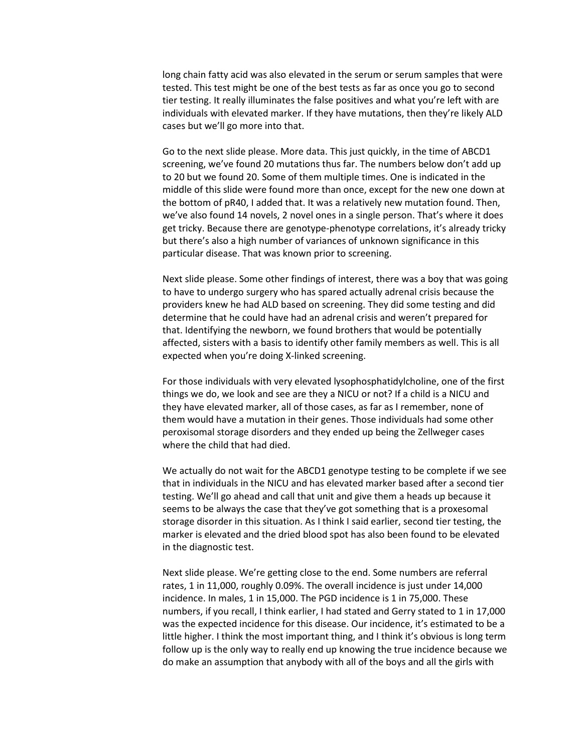long chain fatty acid was also elevated in the serum or serum samples that were tested. This test might be one of the best tests as far as once you go to second tier testing. It really illuminates the false positives and what you're left with are individuals with elevated marker. If they have mutations, then they're likely ALD cases but we'll go more into that.

Go to the next slide please. More data. This just quickly, in the time of ABCD1 screening, we've found 20 mutations thus far. The numbers below don't add up to 20 but we found 20. Some of them multiple times. One is indicated in the middle of this slide were found more than once, except for the new one down at the bottom of pR40, I added that. It was a relatively new mutation found. Then, we've also found 14 novels, 2 novel ones in a single person. That's where it does get tricky. Because there are genotype-phenotype correlations, it's already tricky but there's also a high number of variances of unknown significance in this particular disease. That was known prior to screening.

Next slide please. Some other findings of interest, there was a boy that was going to have to undergo surgery who has spared actually adrenal crisis because the providers knew he had ALD based on screening. They did some testing and did determine that he could have had an adrenal crisis and weren't prepared for that. Identifying the newborn, we found brothers that would be potentially affected, sisters with a basis to identify other family members as well. This is all expected when you're doing X-linked screening.

For those individuals with very elevated lysophosphatidylcholine, one of the first things we do, we look and see are they a NICU or not? If a child is a NICU and they have elevated marker, all of those cases, as far as I remember, none of them would have a mutation in their genes. Those individuals had some other peroxisomal storage disorders and they ended up being the Zellweger cases where the child that had died.

We actually do not wait for the ABCD1 genotype testing to be complete if we see that in individuals in the NICU and has elevated marker based after a second tier testing. We'll go ahead and call that unit and give them a heads up because it seems to be always the case that they've got something that is a proxesomal storage disorder in this situation. As I think I said earlier, second tier testing, the marker is elevated and the dried blood spot has also been found to be elevated in the diagnostic test.

Next slide please. We're getting close to the end. Some numbers are referral rates, 1 in 11,000, roughly 0.09%. The overall incidence is just under 14,000 incidence. In males, 1 in 15,000. The PGD incidence is 1 in 75,000. These numbers, if you recall, I think earlier, I had stated and Gerry stated to 1 in 17,000 was the expected incidence for this disease. Our incidence, it's estimated to be a little higher. I think the most important thing, and I think it's obvious is long term follow up is the only way to really end up knowing the true incidence because we do make an assumption that anybody with all of the boys and all the girls with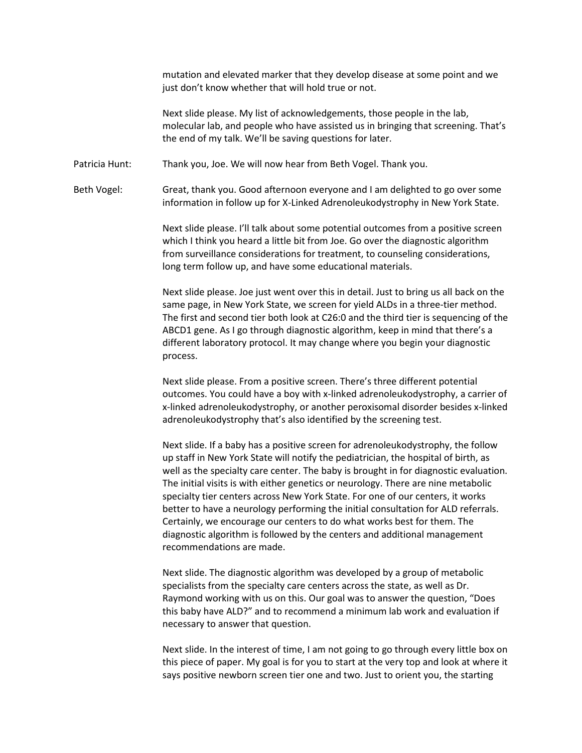mutation and elevated marker that they develop disease at some point and we just don't know whether that will hold true or not.

Next slide please. My list of acknowledgements, those people in the lab, molecular lab, and people who have assisted us in bringing that screening. That's the end of my talk. We'll be saving questions for later.

Patricia Hunt: Thank you, Joe. We will now hear from Beth Vogel. Thank you.

Beth Vogel: Great, thank you. Good afternoon everyone and I am delighted to go over some information in follow up for X-Linked Adrenoleukodystrophy in New York State.

> Next slide please. I'll talk about some potential outcomes from a positive screen which I think you heard a little bit from Joe. Go over the diagnostic algorithm from surveillance considerations for treatment, to counseling considerations, long term follow up, and have some educational materials.

Next slide please. Joe just went over this in detail. Just to bring us all back on the same page, in New York State, we screen for yield ALDs in a three-tier method. The first and second tier both look at C26:0 and the third tier is sequencing of the ABCD1 gene. As I go through diagnostic algorithm, keep in mind that there's a different laboratory protocol. It may change where you begin your diagnostic process.

Next slide please. From a positive screen. There's three different potential outcomes. You could have a boy with x-linked adrenoleukodystrophy, a carrier of x-linked adrenoleukodystrophy, or another peroxisomal disorder besides x-linked adrenoleukodystrophy that's also identified by the screening test.

Next slide. If a baby has a positive screen for adrenoleukodystrophy, the follow up staff in New York State will notify the pediatrician, the hospital of birth, as well as the specialty care center. The baby is brought in for diagnostic evaluation. The initial visits is with either genetics or neurology. There are nine metabolic specialty tier centers across New York State. For one of our centers, it works better to have a neurology performing the initial consultation for ALD referrals. Certainly, we encourage our centers to do what works best for them. The diagnostic algorithm is followed by the centers and additional management recommendations are made.

Next slide. The diagnostic algorithm was developed by a group of metabolic specialists from the specialty care centers across the state, as well as Dr. Raymond working with us on this. Our goal was to answer the question, "Does this baby have ALD?" and to recommend a minimum lab work and evaluation if necessary to answer that question.

Next slide. In the interest of time, I am not going to go through every little box on this piece of paper. My goal is for you to start at the very top and look at where it says positive newborn screen tier one and two. Just to orient you, the starting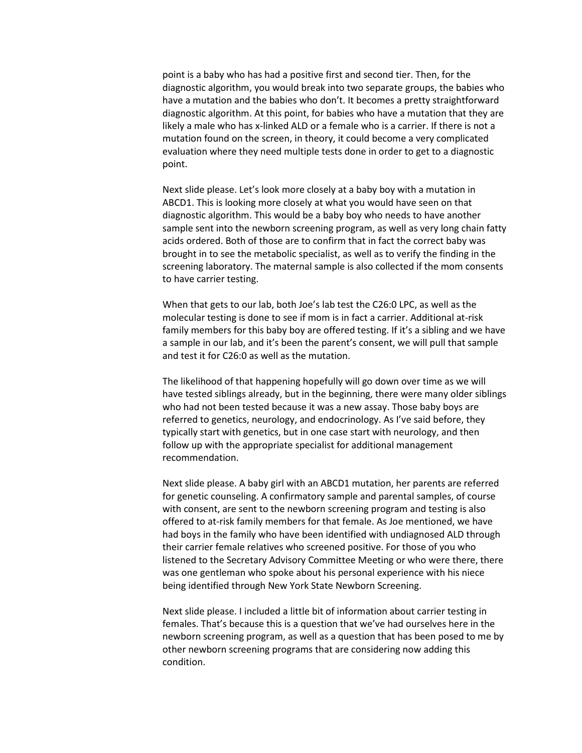point is a baby who has had a positive first and second tier. Then, for the diagnostic algorithm, you would break into two separate groups, the babies who have a mutation and the babies who don't. It becomes a pretty straightforward diagnostic algorithm. At this point, for babies who have a mutation that they are likely a male who has x-linked ALD or a female who is a carrier. If there is not a mutation found on the screen, in theory, it could become a very complicated evaluation where they need multiple tests done in order to get to a diagnostic point.

Next slide please. Let's look more closely at a baby boy with a mutation in ABCD1. This is looking more closely at what you would have seen on that diagnostic algorithm. This would be a baby boy who needs to have another sample sent into the newborn screening program, as well as very long chain fatty acids ordered. Both of those are to confirm that in fact the correct baby was brought in to see the metabolic specialist, as well as to verify the finding in the screening laboratory. The maternal sample is also collected if the mom consents to have carrier testing.

When that gets to our lab, both Joe's lab test the C26:0 LPC, as well as the molecular testing is done to see if mom is in fact a carrier. Additional at-risk family members for this baby boy are offered testing. If it's a sibling and we have a sample in our lab, and it's been the parent's consent, we will pull that sample and test it for C26:0 as well as the mutation.

The likelihood of that happening hopefully will go down over time as we will have tested siblings already, but in the beginning, there were many older siblings who had not been tested because it was a new assay. Those baby boys are referred to genetics, neurology, and endocrinology. As I've said before, they typically start with genetics, but in one case start with neurology, and then follow up with the appropriate specialist for additional management recommendation.

Next slide please. A baby girl with an ABCD1 mutation, her parents are referred for genetic counseling. A confirmatory sample and parental samples, of course with consent, are sent to the newborn screening program and testing is also offered to at-risk family members for that female. As Joe mentioned, we have had boys in the family who have been identified with undiagnosed ALD through their carrier female relatives who screened positive. For those of you who listened to the Secretary Advisory Committee Meeting or who were there, there was one gentleman who spoke about his personal experience with his niece being identified through New York State Newborn Screening.

Next slide please. I included a little bit of information about carrier testing in females. That's because this is a question that we've had ourselves here in the newborn screening program, as well as a question that has been posed to me by other newborn screening programs that are considering now adding this condition.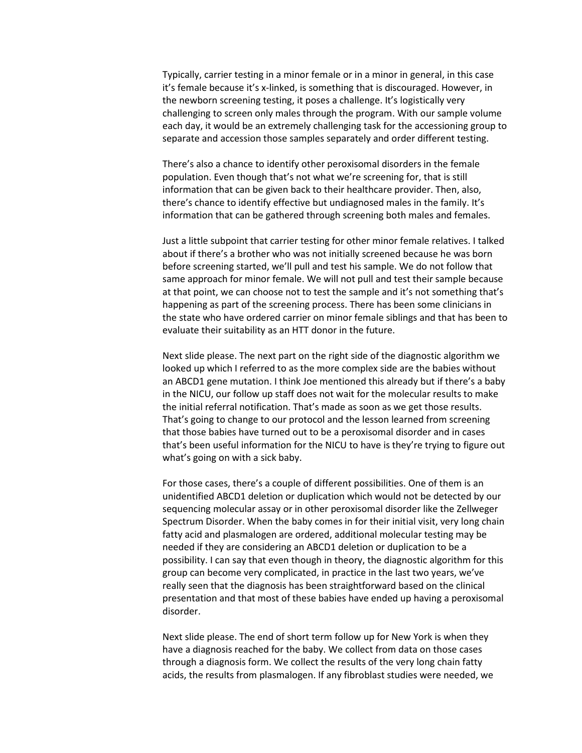Typically, carrier testing in a minor female or in a minor in general, in this case it's female because it's x-linked, is something that is discouraged. However, in the newborn screening testing, it poses a challenge. It's logistically very challenging to screen only males through the program. With our sample volume each day, it would be an extremely challenging task for the accessioning group to separate and accession those samples separately and order different testing.

There's also a chance to identify other peroxisomal disorders in the female population. Even though that's not what we're screening for, that is still information that can be given back to their healthcare provider. Then, also, there's chance to identify effective but undiagnosed males in the family. It's information that can be gathered through screening both males and females.

Just a little subpoint that carrier testing for other minor female relatives. I talked about if there's a brother who was not initially screened because he was born before screening started, we'll pull and test his sample. We do not follow that same approach for minor female. We will not pull and test their sample because at that point, we can choose not to test the sample and it's not something that's happening as part of the screening process. There has been some clinicians in the state who have ordered carrier on minor female siblings and that has been to evaluate their suitability as an HTT donor in the future.

Next slide please. The next part on the right side of the diagnostic algorithm we looked up which I referred to as the more complex side are the babies without an ABCD1 gene mutation. I think Joe mentioned this already but if there's a baby in the NICU, our follow up staff does not wait for the molecular results to make the initial referral notification. That's made as soon as we get those results. That's going to change to our protocol and the lesson learned from screening that those babies have turned out to be a peroxisomal disorder and in cases that's been useful information for the NICU to have is they're trying to figure out what's going on with a sick baby.

For those cases, there's a couple of different possibilities. One of them is an unidentified ABCD1 deletion or duplication which would not be detected by our sequencing molecular assay or in other peroxisomal disorder like the Zellweger Spectrum Disorder. When the baby comes in for their initial visit, very long chain fatty acid and plasmalogen are ordered, additional molecular testing may be needed if they are considering an ABCD1 deletion or duplication to be a possibility. I can say that even though in theory, the diagnostic algorithm for this group can become very complicated, in practice in the last two years, we've really seen that the diagnosis has been straightforward based on the clinical presentation and that most of these babies have ended up having a peroxisomal disorder.

Next slide please. The end of short term follow up for New York is when they have a diagnosis reached for the baby. We collect from data on those cases through a diagnosis form. We collect the results of the very long chain fatty acids, the results from plasmalogen. If any fibroblast studies were needed, we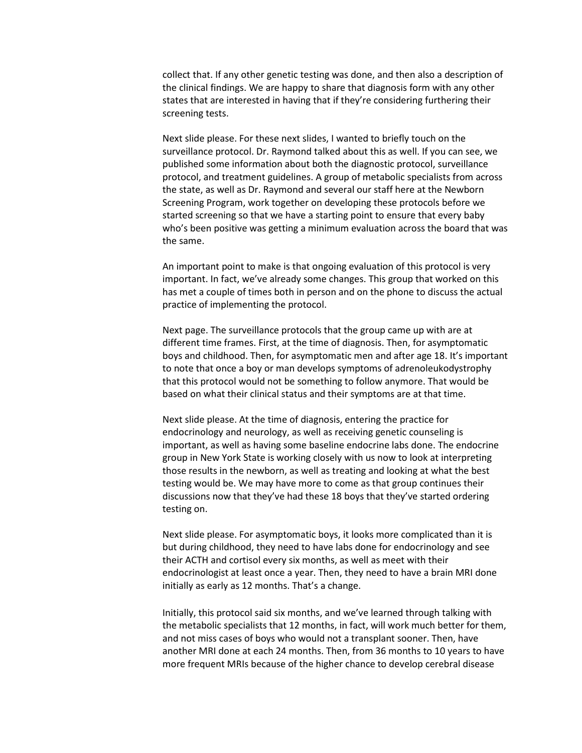collect that. If any other genetic testing was done, and then also a description of the clinical findings. We are happy to share that diagnosis form with any other states that are interested in having that if they're considering furthering their screening tests.

Next slide please. For these next slides, I wanted to briefly touch on the surveillance protocol. Dr. Raymond talked about this as well. If you can see, we published some information about both the diagnostic protocol, surveillance protocol, and treatment guidelines. A group of metabolic specialists from across the state, as well as Dr. Raymond and several our staff here at the Newborn Screening Program, work together on developing these protocols before we started screening so that we have a starting point to ensure that every baby who's been positive was getting a minimum evaluation across the board that was the same.

An important point to make is that ongoing evaluation of this protocol is very important. In fact, we've already some changes. This group that worked on this has met a couple of times both in person and on the phone to discuss the actual practice of implementing the protocol.

Next page. The surveillance protocols that the group came up with are at different time frames. First, at the time of diagnosis. Then, for asymptomatic boys and childhood. Then, for asymptomatic men and after age 18. It's important to note that once a boy or man develops symptoms of adrenoleukodystrophy that this protocol would not be something to follow anymore. That would be based on what their clinical status and their symptoms are at that time.

Next slide please. At the time of diagnosis, entering the practice for endocrinology and neurology, as well as receiving genetic counseling is important, as well as having some baseline endocrine labs done. The endocrine group in New York State is working closely with us now to look at interpreting those results in the newborn, as well as treating and looking at what the best testing would be. We may have more to come as that group continues their discussions now that they've had these 18 boys that they've started ordering testing on.

Next slide please. For asymptomatic boys, it looks more complicated than it is but during childhood, they need to have labs done for endocrinology and see their ACTH and cortisol every six months, as well as meet with their endocrinologist at least once a year. Then, they need to have a brain MRI done initially as early as 12 months. That's a change.

Initially, this protocol said six months, and we've learned through talking with the metabolic specialists that 12 months, in fact, will work much better for them, and not miss cases of boys who would not a transplant sooner. Then, have another MRI done at each 24 months. Then, from 36 months to 10 years to have more frequent MRIs because of the higher chance to develop cerebral disease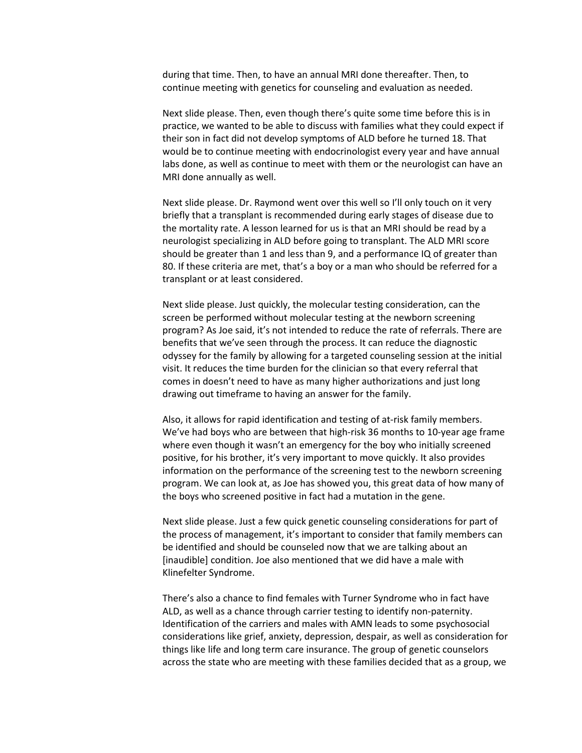during that time. Then, to have an annual MRI done thereafter. Then, to continue meeting with genetics for counseling and evaluation as needed.

Next slide please. Then, even though there's quite some time before this is in practice, we wanted to be able to discuss with families what they could expect if their son in fact did not develop symptoms of ALD before he turned 18. That would be to continue meeting with endocrinologist every year and have annual labs done, as well as continue to meet with them or the neurologist can have an MRI done annually as well.

Next slide please. Dr. Raymond went over this well so I'll only touch on it very briefly that a transplant is recommended during early stages of disease due to the mortality rate. A lesson learned for us is that an MRI should be read by a neurologist specializing in ALD before going to transplant. The ALD MRI score should be greater than 1 and less than 9, and a performance IQ of greater than 80. If these criteria are met, that's a boy or a man who should be referred for a transplant or at least considered.

Next slide please. Just quickly, the molecular testing consideration, can the screen be performed without molecular testing at the newborn screening program? As Joe said, it's not intended to reduce the rate of referrals. There are benefits that we've seen through the process. It can reduce the diagnostic odyssey for the family by allowing for a targeted counseling session at the initial visit. It reduces the time burden for the clinician so that every referral that comes in doesn't need to have as many higher authorizations and just long drawing out timeframe to having an answer for the family.

Also, it allows for rapid identification and testing of at-risk family members. We've had boys who are between that high-risk 36 months to 10-year age frame where even though it wasn't an emergency for the boy who initially screened positive, for his brother, it's very important to move quickly. It also provides information on the performance of the screening test to the newborn screening program. We can look at, as Joe has showed you, this great data of how many of the boys who screened positive in fact had a mutation in the gene.

Next slide please. Just a few quick genetic counseling considerations for part of the process of management, it's important to consider that family members can be identified and should be counseled now that we are talking about an [inaudible] condition. Joe also mentioned that we did have a male with Klinefelter Syndrome.

There's also a chance to find females with Turner Syndrome who in fact have ALD, as well as a chance through carrier testing to identify non-paternity. Identification of the carriers and males with AMN leads to some psychosocial considerations like grief, anxiety, depression, despair, as well as consideration for things like life and long term care insurance. The group of genetic counselors across the state who are meeting with these families decided that as a group, we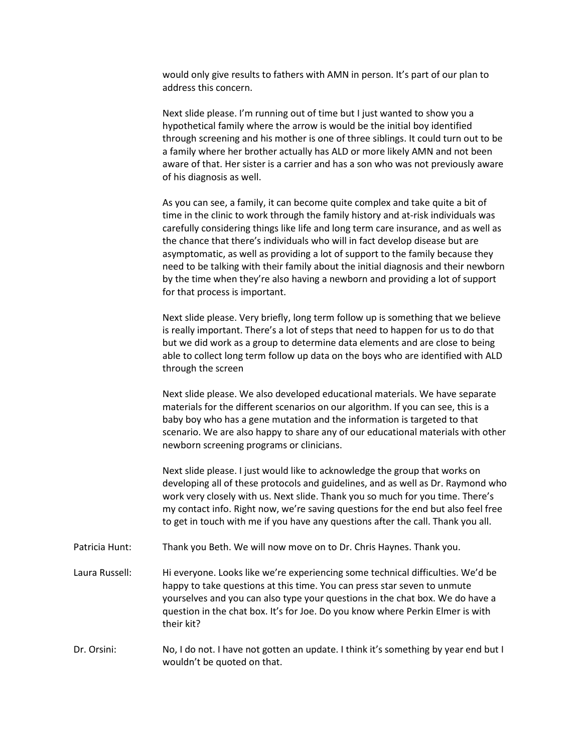would only give results to fathers with AMN in person. It's part of our plan to address this concern.

Next slide please. I'm running out of time but I just wanted to show you a hypothetical family where the arrow is would be the initial boy identified through screening and his mother is one of three siblings. It could turn out to be a family where her brother actually has ALD or more likely AMN and not been aware of that. Her sister is a carrier and has a son who was not previously aware of his diagnosis as well.

As you can see, a family, it can become quite complex and take quite a bit of time in the clinic to work through the family history and at-risk individuals was carefully considering things like life and long term care insurance, and as well as the chance that there's individuals who will in fact develop disease but are asymptomatic, as well as providing a lot of support to the family because they need to be talking with their family about the initial diagnosis and their newborn by the time when they're also having a newborn and providing a lot of support for that process is important.

Next slide please. Very briefly, long term follow up is something that we believe is really important. There's a lot of steps that need to happen for us to do that but we did work as a group to determine data elements and are close to being able to collect long term follow up data on the boys who are identified with ALD through the screen

Next slide please. We also developed educational materials. We have separate materials for the different scenarios on our algorithm. If you can see, this is a baby boy who has a gene mutation and the information is targeted to that scenario. We are also happy to share any of our educational materials with other newborn screening programs or clinicians.

Next slide please. I just would like to acknowledge the group that works on developing all of these protocols and guidelines, and as well as Dr. Raymond who work very closely with us. Next slide. Thank you so much for you time. There's my contact info. Right now, we're saving questions for the end but also feel free to get in touch with me if you have any questions after the call. Thank you all.

- Patricia Hunt: Thank you Beth. We will now move on to Dr. Chris Haynes. Thank you.
- Laura Russell: Hi everyone. Looks like we're experiencing some technical difficulties. We'd be happy to take questions at this time. You can press star seven to unmute yourselves and you can also type your questions in the chat box. We do have a question in the chat box. It's for Joe. Do you know where Perkin Elmer is with their kit?
- Dr. Orsini: No, I do not. I have not gotten an update. I think it's something by year end but I wouldn't be quoted on that.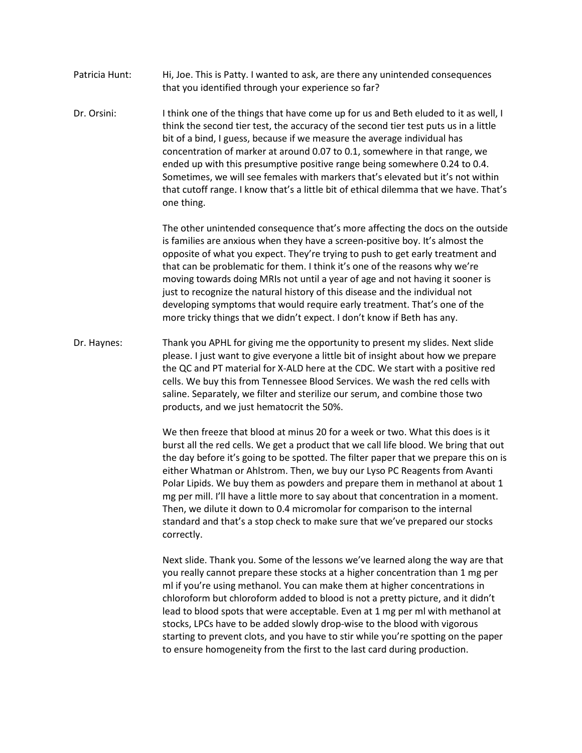- Patricia Hunt: Hi, Joe. This is Patty. I wanted to ask, are there any unintended consequences that you identified through your experience so far?
- Dr. Orsini: I think one of the things that have come up for us and Beth eluded to it as well, I think the second tier test, the accuracy of the second tier test puts us in a little bit of a bind, I guess, because if we measure the average individual has concentration of marker at around 0.07 to 0.1, somewhere in that range, we ended up with this presumptive positive range being somewhere 0.24 to 0.4. Sometimes, we will see females with markers that's elevated but it's not within that cutoff range. I know that's a little bit of ethical dilemma that we have. That's one thing.

The other unintended consequence that's more affecting the docs on the outside is families are anxious when they have a screen-positive boy. It's almost the opposite of what you expect. They're trying to push to get early treatment and that can be problematic for them. I think it's one of the reasons why we're moving towards doing MRIs not until a year of age and not having it sooner is just to recognize the natural history of this disease and the individual not developing symptoms that would require early treatment. That's one of the more tricky things that we didn't expect. I don't know if Beth has any.

Dr. Haynes: Thank you APHL for giving me the opportunity to present my slides. Next slide please. I just want to give everyone a little bit of insight about how we prepare the QC and PT material for X-ALD here at the CDC. We start with a positive red cells. We buy this from Tennessee Blood Services. We wash the red cells with saline. Separately, we filter and sterilize our serum, and combine those two products, and we just hematocrit the 50%.

> We then freeze that blood at minus 20 for a week or two. What this does is it burst all the red cells. We get a product that we call life blood. We bring that out the day before it's going to be spotted. The filter paper that we prepare this on is either Whatman or Ahlstrom. Then, we buy our Lyso PC Reagents from Avanti Polar Lipids. We buy them as powders and prepare them in methanol at about 1 mg per mill. I'll have a little more to say about that concentration in a moment. Then, we dilute it down to 0.4 micromolar for comparison to the internal standard and that's a stop check to make sure that we've prepared our stocks correctly.

Next slide. Thank you. Some of the lessons we've learned along the way are that you really cannot prepare these stocks at a higher concentration than 1 mg per ml if you're using methanol. You can make them at higher concentrations in chloroform but chloroform added to blood is not a pretty picture, and it didn't lead to blood spots that were acceptable. Even at 1 mg per ml with methanol at stocks, LPCs have to be added slowly drop-wise to the blood with vigorous starting to prevent clots, and you have to stir while you're spotting on the paper to ensure homogeneity from the first to the last card during production.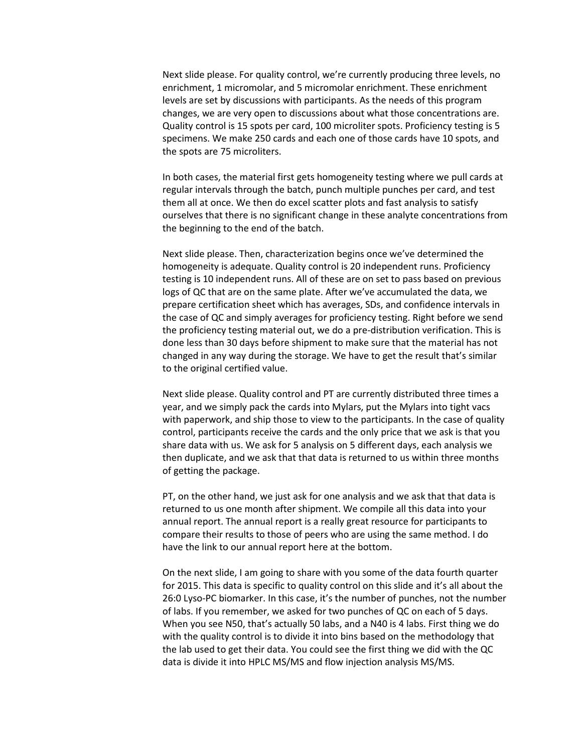Next slide please. For quality control, we're currently producing three levels, no enrichment, 1 micromolar, and 5 micromolar enrichment. These enrichment levels are set by discussions with participants. As the needs of this program changes, we are very open to discussions about what those concentrations are. Quality control is 15 spots per card, 100 microliter spots. Proficiency testing is 5 specimens. We make 250 cards and each one of those cards have 10 spots, and the spots are 75 microliters.

In both cases, the material first gets homogeneity testing where we pull cards at regular intervals through the batch, punch multiple punches per card, and test them all at once. We then do excel scatter plots and fast analysis to satisfy ourselves that there is no significant change in these analyte concentrations from the beginning to the end of the batch.

Next slide please. Then, characterization begins once we've determined the homogeneity is adequate. Quality control is 20 independent runs. Proficiency testing is 10 independent runs. All of these are on set to pass based on previous logs of QC that are on the same plate. After we've accumulated the data, we prepare certification sheet which has averages, SDs, and confidence intervals in the case of QC and simply averages for proficiency testing. Right before we send the proficiency testing material out, we do a pre-distribution verification. This is done less than 30 days before shipment to make sure that the material has not changed in any way during the storage. We have to get the result that's similar to the original certified value.

Next slide please. Quality control and PT are currently distributed three times a year, and we simply pack the cards into Mylars, put the Mylars into tight vacs with paperwork, and ship those to view to the participants. In the case of quality control, participants receive the cards and the only price that we ask is that you share data with us. We ask for 5 analysis on 5 different days, each analysis we then duplicate, and we ask that that data is returned to us within three months of getting the package.

PT, on the other hand, we just ask for one analysis and we ask that that data is returned to us one month after shipment. We compile all this data into your annual report. The annual report is a really great resource for participants to compare their results to those of peers who are using the same method. I do have the link to our annual report here at the bottom.

On the next slide, I am going to share with you some of the data fourth quarter for 2015. This data is specific to quality control on this slide and it's all about the 26:0 Lyso-PC biomarker. In this case, it's the number of punches, not the number of labs. If you remember, we asked for two punches of QC on each of 5 days. When you see N50, that's actually 50 labs, and a N40 is 4 labs. First thing we do with the quality control is to divide it into bins based on the methodology that the lab used to get their data. You could see the first thing we did with the QC data is divide it into HPLC MS/MS and flow injection analysis MS/MS.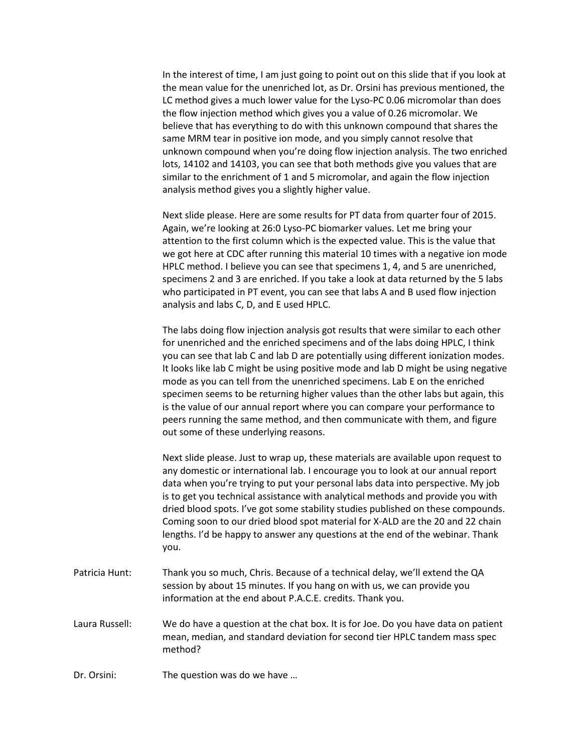In the interest of time, I am just going to point out on this slide that if you look at the mean value for the unenriched lot, as Dr. Orsini has previous mentioned, the LC method gives a much lower value for the Lyso-PC 0.06 micromolar than does the flow injection method which gives you a value of 0.26 micromolar. We believe that has everything to do with this unknown compound that shares the same MRM tear in positive ion mode, and you simply cannot resolve that unknown compound when you're doing flow injection analysis. The two enriched lots, 14102 and 14103, you can see that both methods give you values that are similar to the enrichment of 1 and 5 micromolar, and again the flow injection analysis method gives you a slightly higher value.

Next slide please. Here are some results for PT data from quarter four of 2015. Again, we're looking at 26:0 Lyso-PC biomarker values. Let me bring your attention to the first column which is the expected value. This is the value that we got here at CDC after running this material 10 times with a negative ion mode HPLC method. I believe you can see that specimens 1, 4, and 5 are unenriched, specimens 2 and 3 are enriched. If you take a look at data returned by the 5 labs who participated in PT event, you can see that labs A and B used flow injection analysis and labs C, D, and E used HPLC.

The labs doing flow injection analysis got results that were similar to each other for unenriched and the enriched specimens and of the labs doing HPLC, I think you can see that lab C and lab D are potentially using different ionization modes. It looks like lab C might be using positive mode and lab D might be using negative mode as you can tell from the unenriched specimens. Lab E on the enriched specimen seems to be returning higher values than the other labs but again, this is the value of our annual report where you can compare your performance to peers running the same method, and then communicate with them, and figure out some of these underlying reasons.

Next slide please. Just to wrap up, these materials are available upon request to any domestic or international lab. I encourage you to look at our annual report data when you're trying to put your personal labs data into perspective. My job is to get you technical assistance with analytical methods and provide you with dried blood spots. I've got some stability studies published on these compounds. Coming soon to our dried blood spot material for X-ALD are the 20 and 22 chain lengths. I'd be happy to answer any questions at the end of the webinar. Thank you.

- Patricia Hunt: Thank you so much, Chris. Because of a technical delay, we'll extend the QA session by about 15 minutes. If you hang on with us, we can provide you information at the end about P.A.C.E. credits. Thank you.
- Laura Russell: We do have a question at the chat box. It is for Joe. Do you have data on patient mean, median, and standard deviation for second tier HPLC tandem mass spec method?
- Dr. Orsini: The question was do we have …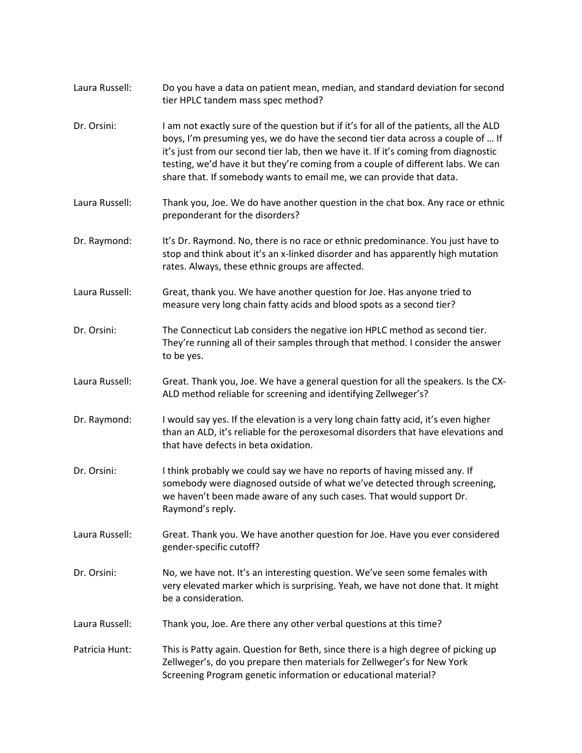| Laura Russell: | Do you have a data on patient mean, median, and standard deviation for second<br>tier HPLC tandem mass spec method?                                                                                                                                                                                                                                                                                                          |
|----------------|------------------------------------------------------------------------------------------------------------------------------------------------------------------------------------------------------------------------------------------------------------------------------------------------------------------------------------------------------------------------------------------------------------------------------|
| Dr. Orsini:    | I am not exactly sure of the question but if it's for all of the patients, all the ALD<br>boys, I'm presuming yes, we do have the second tier data across a couple of  If<br>it's just from our second tier lab, then we have it. If it's coming from diagnostic<br>testing, we'd have it but they're coming from a couple of different labs. We can<br>share that. If somebody wants to email me, we can provide that data. |
| Laura Russell: | Thank you, Joe. We do have another question in the chat box. Any race or ethnic<br>preponderant for the disorders?                                                                                                                                                                                                                                                                                                           |
| Dr. Raymond:   | It's Dr. Raymond. No, there is no race or ethnic predominance. You just have to<br>stop and think about it's an x-linked disorder and has apparently high mutation<br>rates. Always, these ethnic groups are affected.                                                                                                                                                                                                       |
| Laura Russell: | Great, thank you. We have another question for Joe. Has anyone tried to<br>measure very long chain fatty acids and blood spots as a second tier?                                                                                                                                                                                                                                                                             |
| Dr. Orsini:    | The Connecticut Lab considers the negative ion HPLC method as second tier.<br>They're running all of their samples through that method. I consider the answer<br>to be yes.                                                                                                                                                                                                                                                  |
| Laura Russell: | Great. Thank you, Joe. We have a general question for all the speakers. Is the CX-<br>ALD method reliable for screening and identifying Zellweger's?                                                                                                                                                                                                                                                                         |
| Dr. Raymond:   | I would say yes. If the elevation is a very long chain fatty acid, it's even higher<br>than an ALD, it's reliable for the peroxesomal disorders that have elevations and<br>that have defects in beta oxidation.                                                                                                                                                                                                             |
| Dr. Orsini:    | I think probably we could say we have no reports of having missed any. If<br>somebody were diagnosed outside of what we've detected through screening,<br>we haven't been made aware of any such cases. That would support Dr.<br>Raymond's reply.                                                                                                                                                                           |
| Laura Russell: | Great. Thank you. We have another question for Joe. Have you ever considered<br>gender-specific cutoff?                                                                                                                                                                                                                                                                                                                      |
| Dr. Orsini:    | No, we have not. It's an interesting question. We've seen some females with<br>very elevated marker which is surprising. Yeah, we have not done that. It might<br>be a consideration.                                                                                                                                                                                                                                        |
| Laura Russell: | Thank you, Joe. Are there any other verbal questions at this time?                                                                                                                                                                                                                                                                                                                                                           |
| Patricia Hunt: | This is Patty again. Question for Beth, since there is a high degree of picking up<br>Zellweger's, do you prepare then materials for Zellweger's for New York<br>Screening Program genetic information or educational material?                                                                                                                                                                                              |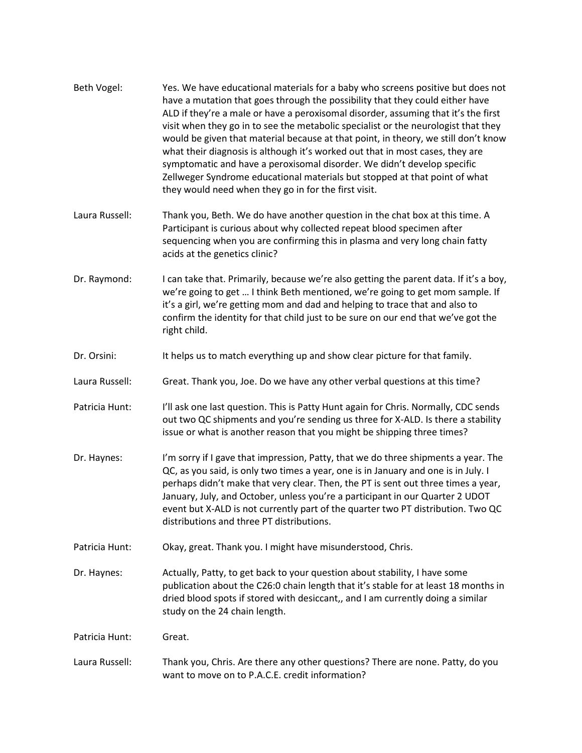| Beth Vogel:    | Yes. We have educational materials for a baby who screens positive but does not<br>have a mutation that goes through the possibility that they could either have<br>ALD if they're a male or have a peroxisomal disorder, assuming that it's the first<br>visit when they go in to see the metabolic specialist or the neurologist that they<br>would be given that material because at that point, in theory, we still don't know<br>what their diagnosis is although it's worked out that in most cases, they are<br>symptomatic and have a peroxisomal disorder. We didn't develop specific<br>Zellweger Syndrome educational materials but stopped at that point of what<br>they would need when they go in for the first visit. |
|----------------|--------------------------------------------------------------------------------------------------------------------------------------------------------------------------------------------------------------------------------------------------------------------------------------------------------------------------------------------------------------------------------------------------------------------------------------------------------------------------------------------------------------------------------------------------------------------------------------------------------------------------------------------------------------------------------------------------------------------------------------|
| Laura Russell: | Thank you, Beth. We do have another question in the chat box at this time. A<br>Participant is curious about why collected repeat blood specimen after<br>sequencing when you are confirming this in plasma and very long chain fatty<br>acids at the genetics clinic?                                                                                                                                                                                                                                                                                                                                                                                                                                                               |
| Dr. Raymond:   | I can take that. Primarily, because we're also getting the parent data. If it's a boy,<br>we're going to get  I think Beth mentioned, we're going to get mom sample. If<br>it's a girl, we're getting mom and dad and helping to trace that and also to<br>confirm the identity for that child just to be sure on our end that we've got the<br>right child.                                                                                                                                                                                                                                                                                                                                                                         |
| Dr. Orsini:    | It helps us to match everything up and show clear picture for that family.                                                                                                                                                                                                                                                                                                                                                                                                                                                                                                                                                                                                                                                           |
| Laura Russell: | Great. Thank you, Joe. Do we have any other verbal questions at this time?                                                                                                                                                                                                                                                                                                                                                                                                                                                                                                                                                                                                                                                           |
| Patricia Hunt: | I'll ask one last question. This is Patty Hunt again for Chris. Normally, CDC sends<br>out two QC shipments and you're sending us three for X-ALD. Is there a stability<br>issue or what is another reason that you might be shipping three times?                                                                                                                                                                                                                                                                                                                                                                                                                                                                                   |
| Dr. Haynes:    | I'm sorry if I gave that impression, Patty, that we do three shipments a year. The<br>QC, as you said, is only two times a year, one is in January and one is in July. I<br>perhaps didn't make that very clear. Then, the PT is sent out three times a year,<br>January, July, and October, unless you're a participant in our Quarter 2 UDOT<br>event but X-ALD is not currently part of the quarter two PT distribution. Two QC<br>distributions and three PT distributions.                                                                                                                                                                                                                                                      |
| Patricia Hunt: | Okay, great. Thank you. I might have misunderstood, Chris.                                                                                                                                                                                                                                                                                                                                                                                                                                                                                                                                                                                                                                                                           |
| Dr. Haynes:    | Actually, Patty, to get back to your question about stability, I have some<br>publication about the C26:0 chain length that it's stable for at least 18 months in<br>dried blood spots if stored with desiccant,, and I am currently doing a similar<br>study on the 24 chain length.                                                                                                                                                                                                                                                                                                                                                                                                                                                |
| Patricia Hunt: | Great.                                                                                                                                                                                                                                                                                                                                                                                                                                                                                                                                                                                                                                                                                                                               |
| Laura Russell: | Thank you, Chris. Are there any other questions? There are none. Patty, do you<br>want to move on to P.A.C.E. credit information?                                                                                                                                                                                                                                                                                                                                                                                                                                                                                                                                                                                                    |